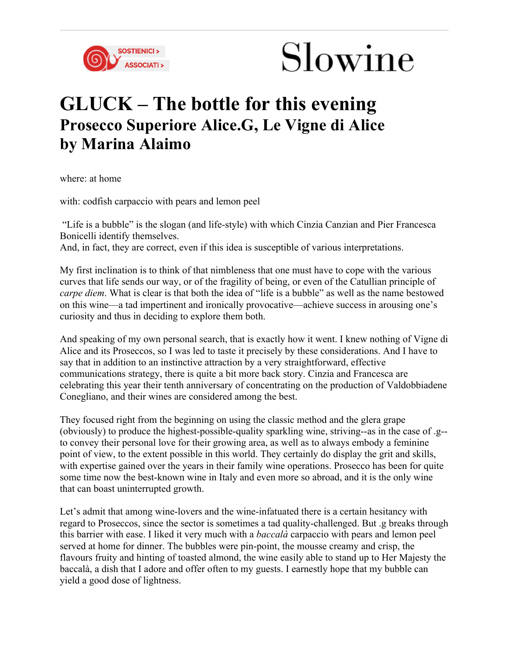

## Slowine

## **GLUCK – The bottle for this evening Prosecco Superiore Alice.G, Le Vigne di Alice by Marina Alaimo**

where: at home

with: codfish carpaccio with pears and lemon peel

"Life is a bubble" is the slogan (and life-style) with which Cinzia Canzian and Pier Francesca Bonicelli identify themselves.

And, in fact, they are correct, even if this idea is susceptible of various interpretations.

My first inclination is to think of that nimbleness that one must have to cope with the various curves that life sends our way, or of the fragility of being, or even of the Catullian principle of *carpe diem*. What is clear is that both the idea of "life is a bubble" as well as the name bestowed on this wine—a tad impertinent and ironically provocative—achieve success in arousing one's curiosity and thus in deciding to explore them both.

And speaking of my own personal search, that is exactly how it went. I knew nothing of Vigne di Alice and its Proseccos, so I was led to taste it precisely by these considerations. And I have to say that in addition to an instinctive attraction by a very straightforward, effective communications strategy, there is quite a bit more back story. Cinzia and Francesca are celebrating this year their tenth anniversary of concentrating on the production of Valdobbiadene Conegliano, and their wines are considered among the best.

They focused right from the beginning on using the classic method and the glera grape (obviously) to produce the highest-possible-quality sparkling wine, striving--as in the case of .g- to convey their personal love for their growing area, as well as to always embody a feminine point of view, to the extent possible in this world. They certainly do display the grit and skills, with expertise gained over the years in their family wine operations. Prosecco has been for quite some time now the best-known wine in Italy and even more so abroad, and it is the only wine that can boast uninterrupted growth.

Let's admit that among wine-lovers and the wine-infatuated there is a certain hesitancy with regard to Proseccos, since the sector is sometimes a tad quality-challenged. But .g breaks through this barrier with ease. I liked it very much with a *baccalà* carpaccio with pears and lemon peel served at home for dinner. The bubbles were pin-point, the mousse creamy and crisp, the flavours fruity and hinting of toasted almond, the wine easily able to stand up to Her Majesty the baccalà, a dish that I adore and offer often to my guests. I earnestly hope that my bubble can yield a good dose of lightness.